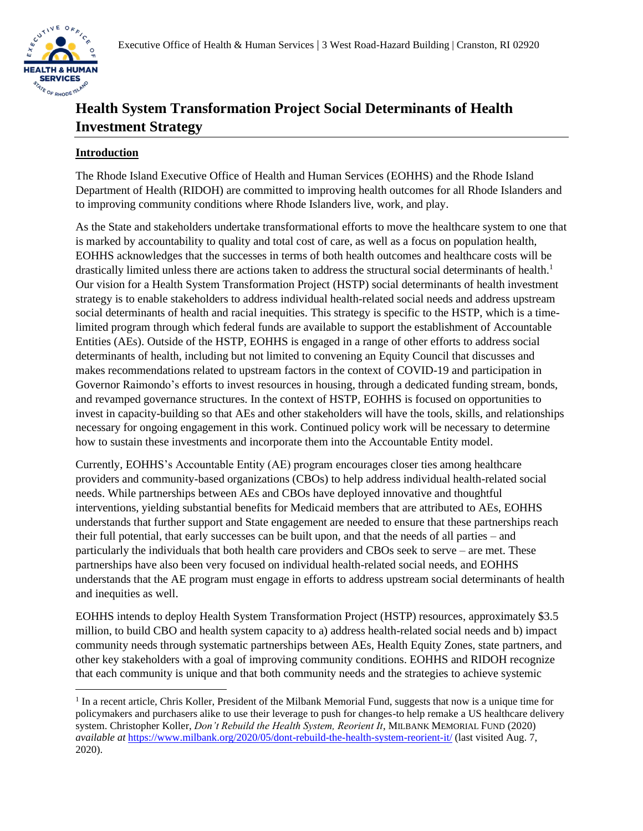# **Health System Transformation Project Social Determinants of Health Investment Strategy**

### **Introduction**

The Rhode Island Executive Office of Health and Human Services (EOHHS) and the Rhode Island Department of Health (RIDOH) are committed to improving health outcomes for all Rhode Islanders and to improving community conditions where Rhode Islanders live, work, and play.

As the State and stakeholders undertake transformational efforts to move the healthcare system to one that is marked by accountability to quality and total cost of care, as well as a focus on population health, EOHHS acknowledges that the successes in terms of both health outcomes and healthcare costs will be drastically limited unless there are actions taken to address the structural social determinants of health.<sup>1</sup> Our vision for a Health System Transformation Project (HSTP) social determinants of health investment strategy is to enable stakeholders to address individual health-related social needs and address upstream social determinants of health and racial inequities. This strategy is specific to the HSTP, which is a timelimited program through which federal funds are available to support the establishment of Accountable Entities (AEs). Outside of the HSTP, EOHHS is engaged in a range of other efforts to address social determinants of health, including but not limited to convening an Equity Council that discusses and makes recommendations related to upstream factors in the context of COVID-19 and participation in Governor Raimondo's efforts to invest resources in housing, through a dedicated funding stream, bonds, and revamped governance structures. In the context of HSTP, EOHHS is focused on opportunities to invest in capacity-building so that AEs and other stakeholders will have the tools, skills, and relationships necessary for ongoing engagement in this work. Continued policy work will be necessary to determine how to sustain these investments and incorporate them into the Accountable Entity model.

Currently, EOHHS's Accountable Entity (AE) program encourages closer ties among healthcare providers and community-based organizations (CBOs) to help address individual health-related social needs. While partnerships between AEs and CBOs have deployed innovative and thoughtful interventions, yielding substantial benefits for Medicaid members that are attributed to AEs, EOHHS understands that further support and State engagement are needed to ensure that these partnerships reach their full potential, that early successes can be built upon, and that the needs of all parties – and particularly the individuals that both health care providers and CBOs seek to serve – are met. These partnerships have also been very focused on individual health-related social needs, and EOHHS understands that the AE program must engage in efforts to address upstream social determinants of health and inequities as well.

EOHHS intends to deploy Health System Transformation Project (HSTP) resources, approximately \$3.5 million, to build CBO and health system capacity to a) address health-related social needs and b) impact community needs through systematic partnerships between AEs, Health Equity Zones, state partners, and other key stakeholders with a goal of improving community conditions. EOHHS and RIDOH recognize that each community is unique and that both community needs and the strategies to achieve systemic

<sup>&</sup>lt;sup>1</sup> In a recent article, Chris Koller, President of the Milbank Memorial Fund, suggests that now is a unique time for policymakers and purchasers alike to use their leverage to push for changes-to help remake a US healthcare delivery system. Christopher Koller, *Don't Rebuild the Health System, Reorient It*, MILBANK MEMORIAL FUND (2020) *available at* <https://www.milbank.org/2020/05/dont-rebuild-the-health-system-reorient-it/> (last visited Aug. 7, 2020).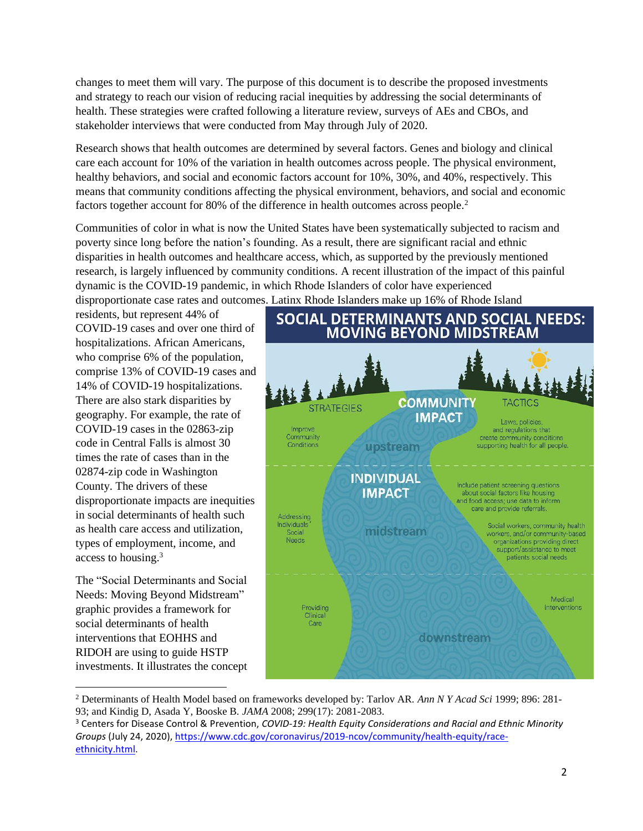changes to meet them will vary. The purpose of this document is to describe the proposed investments and strategy to reach our vision of reducing racial inequities by addressing the social determinants of health. These strategies were crafted following a literature review, surveys of AEs and CBOs, and stakeholder interviews that were conducted from May through July of 2020.

Research shows that health outcomes are determined by several factors. Genes and biology and clinical care each account for 10% of the variation in health outcomes across people. The physical environment, healthy behaviors, and social and economic factors account for 10%, 30%, and 40%, respectively. This means that community conditions affecting the physical environment, behaviors, and social and economic factors together account for 80% of the difference in health outcomes across people.<sup>2</sup>

Communities of color in what is now the United States have been systematically subjected to racism and poverty since long before the nation's founding. As a result, there are significant racial and ethnic disparities in health outcomes and healthcare access, which, as supported by the previously mentioned research, is largely influenced by community conditions. A recent illustration of the impact of this painful dynamic is the COVID-19 pandemic, in which Rhode Islanders of color have experienced disproportionate case rates and outcomes. Latinx Rhode Islanders make up 16% of Rhode Island

residents, but represent 44% of COVID-19 cases and over one third of hospitalizations. African Americans, who comprise 6% of the population, comprise 13% of COVID-19 cases and 14% of COVID-19 hospitalizations. There are also stark disparities by geography. For example, the rate of COVID-19 cases in the 02863-zip code in Central Falls is almost 30 times the rate of cases than in the 02874-zip code in Washington County. The drivers of these disproportionate impacts are inequities in social determinants of health such as health care access and utilization, types of employment, income, and access to housing. 3

The "Social Determinants and Social Needs: Moving Beyond Midstream" graphic provides a framework for social determinants of health interventions that EOHHS and RIDOH are using to guide HSTP investments. It illustrates the concept



<sup>2</sup> Determinants of Health Model based on frameworks developed by: Tarlov AR. *Ann N Y Acad Sci* 1999; 896: 281- 93; and Kindig D, Asada Y, Booske B. *JAMA* 2008; 299(17): 2081-2083.

<sup>3</sup> Centers for Disease Control & Prevention, *COVID-19: Health Equity Considerations and Racial and Ethnic Minority Groups* (July 24, 2020), [https://www.cdc.gov/coronavirus/2019-ncov/community/health-equity/race](https://www.cdc.gov/coronavirus/2019-ncov/community/health-equity/race-ethnicity.html)[ethnicity.html.](https://www.cdc.gov/coronavirus/2019-ncov/community/health-equity/race-ethnicity.html)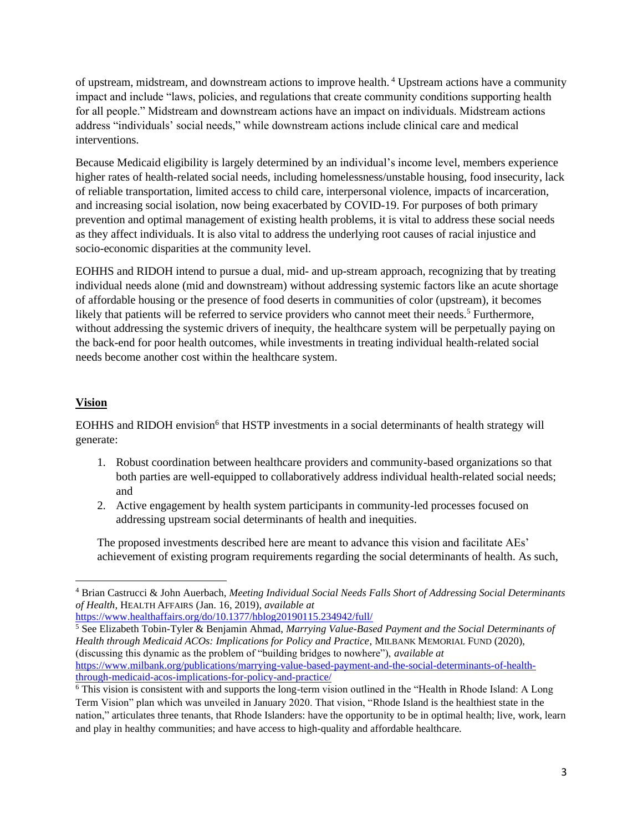of upstream, midstream, and downstream actions to improve health. <sup>4</sup> Upstream actions have a community impact and include "laws, policies, and regulations that create community conditions supporting health for all people." Midstream and downstream actions have an impact on individuals. Midstream actions address "individuals' social needs," while downstream actions include clinical care and medical interventions.

Because Medicaid eligibility is largely determined by an individual's income level, members experience higher rates of health-related social needs, including homelessness/unstable housing, food insecurity, lack of reliable transportation, limited access to child care, interpersonal violence, impacts of incarceration, and increasing social isolation, now being exacerbated by COVID-19. For purposes of both primary prevention and optimal management of existing health problems, it is vital to address these social needs as they affect individuals. It is also vital to address the underlying root causes of racial injustice and socio-economic disparities at the community level.

EOHHS and RIDOH intend to pursue a dual, mid- and up-stream approach, recognizing that by treating individual needs alone (mid and downstream) without addressing systemic factors like an acute shortage of affordable housing or the presence of food deserts in communities of color (upstream), it becomes likely that patients will be referred to service providers who cannot meet their needs.<sup>5</sup> Furthermore, without addressing the systemic drivers of inequity, the healthcare system will be perpetually paying on the back-end for poor health outcomes, while investments in treating individual health-related social needs become another cost within the healthcare system.

# **Vision**

EOHHS and RIDOH envision<sup>6</sup> that HSTP investments in a social determinants of health strategy will generate:

- 1. Robust coordination between healthcare providers and community-based organizations so that both parties are well-equipped to collaboratively address individual health-related social needs; and
- 2. Active engagement by health system participants in community-led processes focused on addressing upstream social determinants of health and inequities.

The proposed investments described here are meant to advance this vision and facilitate AEs' achievement of existing program requirements regarding the social determinants of health. As such,

<https://www.healthaffairs.org/do/10.1377/hblog20190115.234942/full/>

<sup>5</sup> See Elizabeth Tobin-Tyler & Benjamin Ahmad, *Marrying Value-Based Payment and the Social Determinants of Health through Medicaid ACOs: Implications for Policy and Practice*, MILBANK MEMORIAL FUND (2020), (discussing this dynamic as the problem of "building bridges to nowhere"), *available at* [https://www.milbank.org/publications/marrying-value-based-payment-and-the-social-determinants-of-health](https://www.milbank.org/publications/marrying-value-based-payment-and-the-social-determinants-of-health-through-medicaid-acos-implications-for-policy-and-practice/)[through-medicaid-acos-implications-for-policy-and-practice/](https://www.milbank.org/publications/marrying-value-based-payment-and-the-social-determinants-of-health-through-medicaid-acos-implications-for-policy-and-practice/)

<sup>4</sup> Brian Castrucci & John Auerbach, *Meeting Individual Social Needs Falls Short of Addressing Social Determinants of Health*, HEALTH AFFAIRS (Jan. 16, 2019), *available at*

<sup>6</sup> This vision is consistent with and supports the long-term vision outlined in the "Health in Rhode Island: A Long Term Vision" plan which was unveiled in January 2020. That vision, "Rhode Island is the healthiest state in the nation," articulates three tenants, that Rhode Islanders: have the opportunity to be in optimal health; live, work, learn and play in healthy communities; and have access to high-quality and affordable healthcare.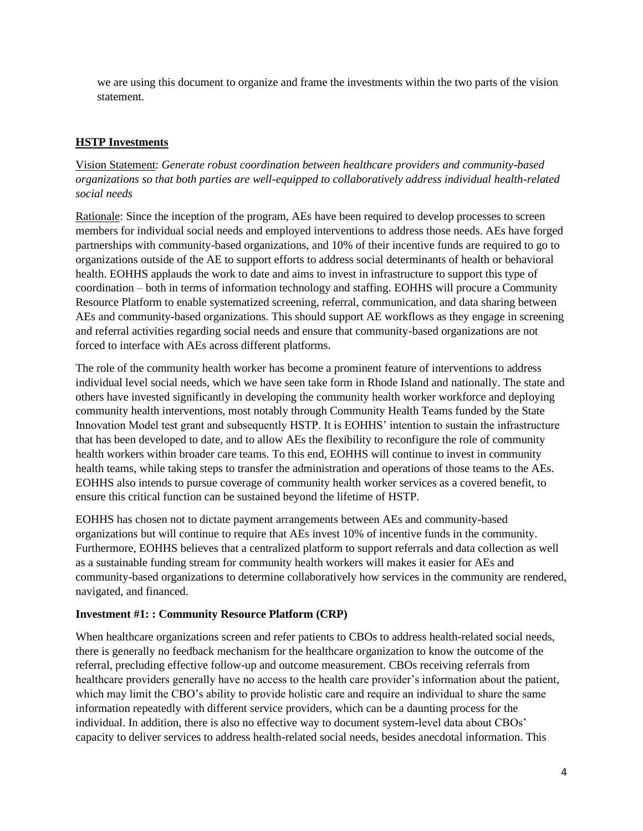we are using this document to organize and frame the investments within the two parts of the vision statement.

## **HSTP Investments**

Vision Statement: *Generate robust coordination between healthcare providers and community-based organizations so that both parties are well-equipped to collaboratively address individual health-related social needs*

Rationale: Since the inception of the program, AEs have been required to develop processes to screen members for individual social needs and employed interventions to address those needs. AEs have forged partnerships with community-based organizations, and 10% of their incentive funds are required to go to organizations outside of the AE to support efforts to address social determinants of health or behavioral health. EOHHS applauds the work to date and aims to invest in infrastructure to support this type of coordination – both in terms of information technology and staffing. EOHHS will procure a Community Resource Platform to enable systematized screening, referral, communication, and data sharing between AEs and community-based organizations. This should support AE workflows as they engage in screening and referral activities regarding social needs and ensure that community-based organizations are not forced to interface with AEs across different platforms.

The role of the community health worker has become a prominent feature of interventions to address individual level social needs, which we have seen take form in Rhode Island and nationally. The state and others have invested significantly in developing the community health worker workforce and deploying community health interventions, most notably through Community Health Teams funded by the State Innovation Model test grant and subsequently HSTP. It is EOHHS' intention to sustain the infrastructure that has been developed to date, and to allow AEs the flexibility to reconfigure the role of community health workers within broader care teams. To this end, EOHHS will continue to invest in community health teams, while taking steps to transfer the administration and operations of those teams to the AEs. EOHHS also intends to pursue coverage of community health worker services as a covered benefit, to ensure this critical function can be sustained beyond the lifetime of HSTP.

EOHHS has chosen not to dictate payment arrangements between AEs and community-based organizations but will continue to require that AEs invest 10% of incentive funds in the community. Furthermore, EOHHS believes that a centralized platform to support referrals and data collection as well as a sustainable funding stream for community health workers will makes it easier for AEs and community-based organizations to determine collaboratively how services in the community are rendered, navigated, and financed.

#### **Investment #1: : Community Resource Platform (CRP)**

When healthcare organizations screen and refer patients to CBOs to address health-related social needs, there is generally no feedback mechanism for the healthcare organization to know the outcome of the referral, precluding effective follow-up and outcome measurement. CBOs receiving referrals from healthcare providers generally have no access to the health care provider's information about the patient, which may limit the CBO's ability to provide holistic care and require an individual to share the same information repeatedly with different service providers, which can be a daunting process for the individual. In addition, there is also no effective way to document system-level data about CBOs' capacity to deliver services to address health-related social needs, besides anecdotal information. This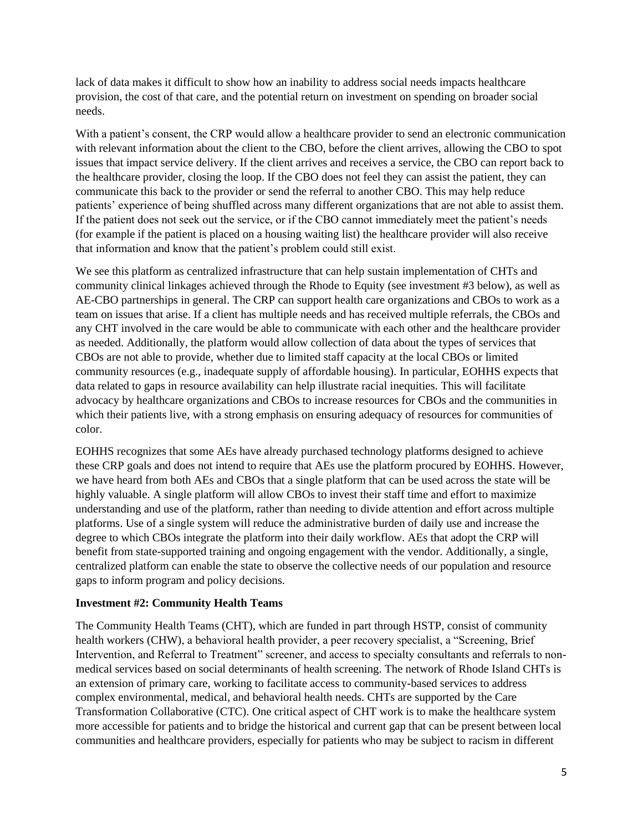lack of data makes it difficult to show how an inability to address social needs impacts healthcare provision, the cost of that care, and the potential return on investment on spending on broader social needs.

With a patient's consent, the CRP would allow a healthcare provider to send an electronic communication with relevant information about the client to the CBO, before the client arrives, allowing the CBO to spot issues that impact service delivery. If the client arrives and receives a service, the CBO can report back to the healthcare provider, closing the loop. If the CBO does not feel they can assist the patient, they can communicate this back to the provider or send the referral to another CBO. This may help reduce patients' experience of being shuffled across many different organizations that are not able to assist them. If the patient does not seek out the service, or if the CBO cannot immediately meet the patient's needs (for example if the patient is placed on a housing waiting list) the healthcare provider will also receive that information and know that the patient's problem could still exist.

We see this platform as centralized infrastructure that can help sustain implementation of CHTs and community clinical linkages achieved through the Rhode to Equity (see investment #3 below), as well as AE-CBO partnerships in general. The CRP can support health care organizations and CBOs to work as a team on issues that arise. If a client has multiple needs and has received multiple referrals, the CBOs and any CHT involved in the care would be able to communicate with each other and the healthcare provider as needed. Additionally, the platform would allow collection of data about the types of services that CBOs are not able to provide, whether due to limited staff capacity at the local CBOs or limited community resources (e.g., inadequate supply of affordable housing). In particular, EOHHS expects that data related to gaps in resource availability can help illustrate racial inequities. This will facilitate advocacy by healthcare organizations and CBOs to increase resources for CBOs and the communities in which their patients live, with a strong emphasis on ensuring adequacy of resources for communities of color.

EOHHS recognizes that some AEs have already purchased technology platforms designed to achieve these CRP goals and does not intend to require that AEs use the platform procured by EOHHS. However, we have heard from both AEs and CBOs that a single platform that can be used across the state will be highly valuable. A single platform will allow CBOs to invest their staff time and effort to maximize understanding and use of the platform, rather than needing to divide attention and effort across multiple platforms. Use of a single system will reduce the administrative burden of daily use and increase the degree to which CBOs integrate the platform into their daily workflow. AEs that adopt the CRP will benefit from state-supported training and ongoing engagement with the vendor. Additionally, a single, centralized platform can enable the state to observe the collective needs of our population and resource gaps to inform program and policy decisions.

#### **Investment #2: Community Health Teams**

The Community Health Teams (CHT), which are funded in part through HSTP, consist of community health workers (CHW), a behavioral health provider, a peer recovery specialist, a "Screening, Brief Intervention, and Referral to Treatment" screener, and access to specialty consultants and referrals to nonmedical services based on social determinants of health screening. The network of Rhode Island CHTs is an extension of primary care, working to facilitate access to community-based services to address complex environmental, medical, and behavioral health needs. CHTs are supported by the Care Transformation Collaborative (CTC). One critical aspect of CHT work is to make the healthcare system more accessible for patients and to bridge the historical and current gap that can be present between local communities and healthcare providers, especially for patients who may be subject to racism in different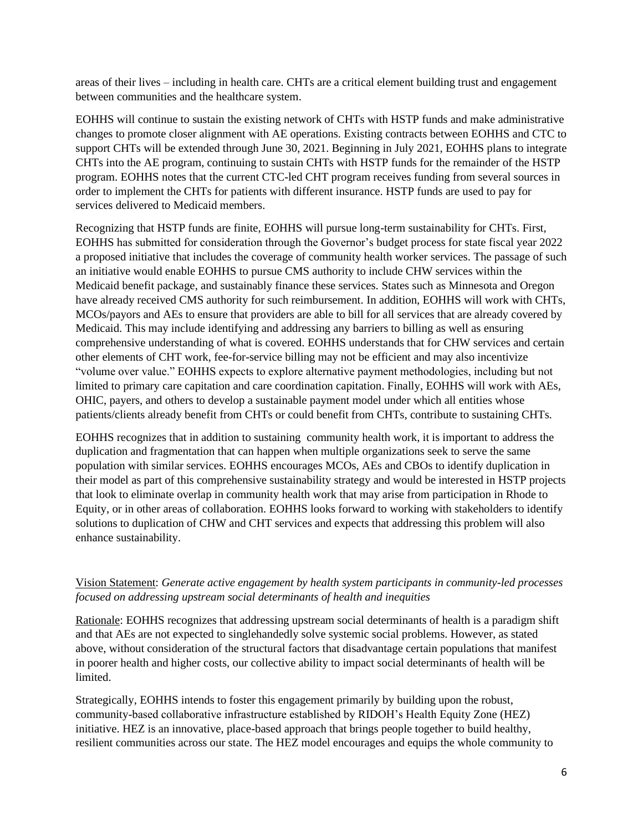areas of their lives – including in health care. CHTs are a critical element building trust and engagement between communities and the healthcare system.

EOHHS will continue to sustain the existing network of CHTs with HSTP funds and make administrative changes to promote closer alignment with AE operations. Existing contracts between EOHHS and CTC to support CHTs will be extended through June 30, 2021. Beginning in July 2021, EOHHS plans to integrate CHTs into the AE program, continuing to sustain CHTs with HSTP funds for the remainder of the HSTP program. EOHHS notes that the current CTC-led CHT program receives funding from several sources in order to implement the CHTs for patients with different insurance. HSTP funds are used to pay for services delivered to Medicaid members.

Recognizing that HSTP funds are finite, EOHHS will pursue long-term sustainability for CHTs. First, EOHHS has submitted for consideration through the Governor's budget process for state fiscal year 2022 a proposed initiative that includes the coverage of community health worker services. The passage of such an initiative would enable EOHHS to pursue CMS authority to include CHW services within the Medicaid benefit package, and sustainably finance these services. States such as Minnesota and Oregon have already received CMS authority for such reimbursement. In addition, EOHHS will work with CHTs, MCOs/payors and AEs to ensure that providers are able to bill for all services that are already covered by Medicaid. This may include identifying and addressing any barriers to billing as well as ensuring comprehensive understanding of what is covered. EOHHS understands that for CHW services and certain other elements of CHT work, fee-for-service billing may not be efficient and may also incentivize "volume over value." EOHHS expects to explore alternative payment methodologies, including but not limited to primary care capitation and care coordination capitation. Finally, EOHHS will work with AEs, OHIC, payers, and others to develop a sustainable payment model under which all entities whose patients/clients already benefit from CHTs or could benefit from CHTs, contribute to sustaining CHTs.

EOHHS recognizes that in addition to sustaining community health work, it is important to address the duplication and fragmentation that can happen when multiple organizations seek to serve the same population with similar services. EOHHS encourages MCOs, AEs and CBOs to identify duplication in their model as part of this comprehensive sustainability strategy and would be interested in HSTP projects that look to eliminate overlap in community health work that may arise from participation in Rhode to Equity, or in other areas of collaboration. EOHHS looks forward to working with stakeholders to identify solutions to duplication of CHW and CHT services and expects that addressing this problem will also enhance sustainability.

## Vision Statement: *Generate active engagement by health system participants in community-led processes focused on addressing upstream social determinants of health and inequities*

Rationale: EOHHS recognizes that addressing upstream social determinants of health is a paradigm shift and that AEs are not expected to singlehandedly solve systemic social problems. However, as stated above, without consideration of the structural factors that disadvantage certain populations that manifest in poorer health and higher costs, our collective ability to impact social determinants of health will be limited.

Strategically, EOHHS intends to foster this engagement primarily by building upon the robust, community-based collaborative infrastructure established by RIDOH's Health Equity Zone (HEZ) initiative. HEZ is an innovative, place-based approach that brings people together to build healthy, resilient communities across our state. The HEZ model encourages and equips the whole community to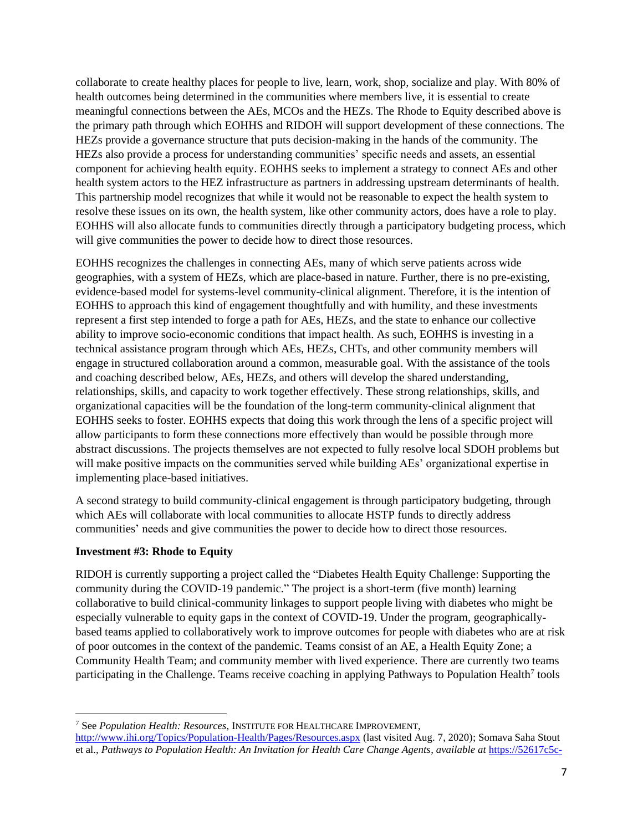collaborate to create healthy places for people to live, learn, work, shop, socialize and play. With 80% of health outcomes being determined in the communities where members live, it is essential to create meaningful connections between the AEs, MCOs and the HEZs. The Rhode to Equity described above is the primary path through which EOHHS and RIDOH will support development of these connections. The HEZs provide a governance structure that puts decision-making in the hands of the community. The HEZs also provide a process for understanding communities' specific needs and assets, an essential component for achieving health equity. EOHHS seeks to implement a strategy to connect AEs and other health system actors to the HEZ infrastructure as partners in addressing upstream determinants of health. This partnership model recognizes that while it would not be reasonable to expect the health system to resolve these issues on its own, the health system, like other community actors, does have a role to play. EOHHS will also allocate funds to communities directly through a participatory budgeting process, which will give communities the power to decide how to direct those resources.

EOHHS recognizes the challenges in connecting AEs, many of which serve patients across wide geographies, with a system of HEZs, which are place-based in nature. Further, there is no pre-existing, evidence-based model for systems-level community-clinical alignment. Therefore, it is the intention of EOHHS to approach this kind of engagement thoughtfully and with humility, and these investments represent a first step intended to forge a path for AEs, HEZs, and the state to enhance our collective ability to improve socio-economic conditions that impact health. As such, EOHHS is investing in a technical assistance program through which AEs, HEZs, CHTs, and other community members will engage in structured collaboration around a common, measurable goal. With the assistance of the tools and coaching described below, AEs, HEZs, and others will develop the shared understanding, relationships, skills, and capacity to work together effectively. These strong relationships, skills, and organizational capacities will be the foundation of the long-term community-clinical alignment that EOHHS seeks to foster. EOHHS expects that doing this work through the lens of a specific project will allow participants to form these connections more effectively than would be possible through more abstract discussions. The projects themselves are not expected to fully resolve local SDOH problems but will make positive impacts on the communities served while building AEs' organizational expertise in implementing place-based initiatives.

A second strategy to build community-clinical engagement is through participatory budgeting, through which AEs will collaborate with local communities to allocate HSTP funds to directly address communities' needs and give communities the power to decide how to direct those resources.

#### **Investment #3: Rhode to Equity**

RIDOH is currently supporting a project called the "Diabetes Health Equity Challenge: Supporting the community during the COVID-19 pandemic." The project is a short-term (five month) learning collaborative to build clinical-community linkages to support people living with diabetes who might be especially vulnerable to equity gaps in the context of COVID-19. Under the program, geographicallybased teams applied to collaboratively work to improve outcomes for people with diabetes who are at risk of poor outcomes in the context of the pandemic. Teams consist of an AE, a Health Equity Zone; a Community Health Team; and community member with lived experience. There are currently two teams participating in the Challenge. Teams receive coaching in applying Pathways to Population Health<sup>7</sup> tools

<sup>7</sup> See *Population Health: Resources*, INSTITUTE FOR HEALTHCARE IMPROVEMENT, <http://www.ihi.org/Topics/Population-Health/Pages/Resources.aspx> (last visited Aug. 7, 2020); Somava Saha Stout et al., *Pathways to Population Health: An Invitation for Health Care Change Agents*, *available at* [https://52617c5c-](https://52617c5c-94de-4151-8b87-7265db51f116.filesusr.com/ugd/d072cc_8742cb3e9c5e410ba57ef587603f5983.pdf)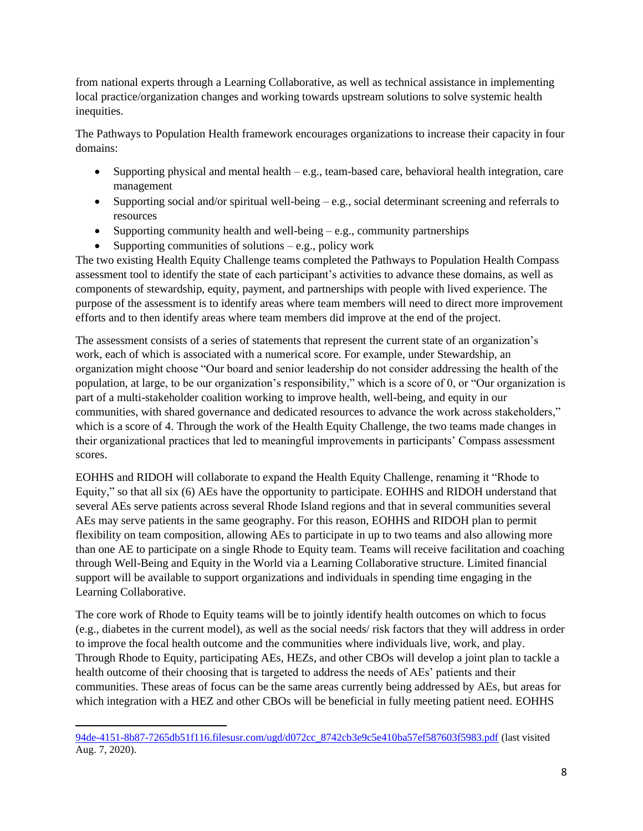from national experts through a Learning Collaborative, as well as technical assistance in implementing local practice/organization changes and working towards upstream solutions to solve systemic health inequities.

The Pathways to Population Health framework encourages organizations to increase their capacity in four domains:

- Supporting physical and mental health  $-e.g.,$  team-based care, behavioral health integration, care management
- Supporting social and/or spiritual well-being e.g., social determinant screening and referrals to resources
- Supporting community health and well-being  $-$  e.g., community partnerships
- Supporting communities of solutions  $-e.g.,$  policy work

The two existing Health Equity Challenge teams completed the Pathways to Population Health Compass assessment tool to identify the state of each participant's activities to advance these domains, as well as components of stewardship, equity, payment, and partnerships with people with lived experience. The purpose of the assessment is to identify areas where team members will need to direct more improvement efforts and to then identify areas where team members did improve at the end of the project.

The assessment consists of a series of statements that represent the current state of an organization's work, each of which is associated with a numerical score. For example, under Stewardship, an organization might choose "Our board and senior leadership do not consider addressing the health of the population, at large, to be our organization's responsibility," which is a score of 0, or "Our organization is part of a multi-stakeholder coalition working to improve health, well-being, and equity in our communities, with shared governance and dedicated resources to advance the work across stakeholders," which is a score of 4. Through the work of the Health Equity Challenge, the two teams made changes in their organizational practices that led to meaningful improvements in participants' Compass assessment scores.

EOHHS and RIDOH will collaborate to expand the Health Equity Challenge, renaming it "Rhode to Equity," so that all six (6) AEs have the opportunity to participate. EOHHS and RIDOH understand that several AEs serve patients across several Rhode Island regions and that in several communities several AEs may serve patients in the same geography. For this reason, EOHHS and RIDOH plan to permit flexibility on team composition, allowing AEs to participate in up to two teams and also allowing more than one AE to participate on a single Rhode to Equity team. Teams will receive facilitation and coaching through Well-Being and Equity in the World via a Learning Collaborative structure. Limited financial support will be available to support organizations and individuals in spending time engaging in the Learning Collaborative.

The core work of Rhode to Equity teams will be to jointly identify health outcomes on which to focus (e.g., diabetes in the current model), as well as the social needs/ risk factors that they will address in order to improve the focal health outcome and the communities where individuals live, work, and play. Through Rhode to Equity, participating AEs, HEZs, and other CBOs will develop a joint plan to tackle a health outcome of their choosing that is targeted to address the needs of AEs' patients and their communities. These areas of focus can be the same areas currently being addressed by AEs, but areas for which integration with a HEZ and other CBOs will be beneficial in fully meeting patient need. EOHHS

[<sup>94</sup>de-4151-8b87-7265db51f116.filesusr.com/ugd/d072cc\\_8742cb3e9c5e410ba57ef587603f5983.pdf](https://52617c5c-94de-4151-8b87-7265db51f116.filesusr.com/ugd/d072cc_8742cb3e9c5e410ba57ef587603f5983.pdf) (last visited Aug. 7, 2020).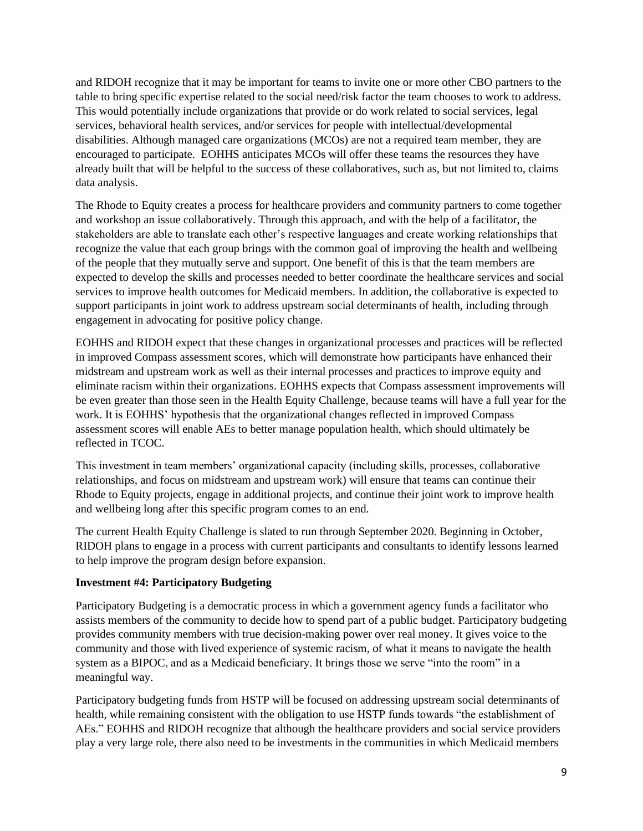and RIDOH recognize that it may be important for teams to invite one or more other CBO partners to the table to bring specific expertise related to the social need/risk factor the team chooses to work to address. This would potentially include organizations that provide or do work related to social services, legal services, behavioral health services, and/or services for people with intellectual/developmental disabilities. Although managed care organizations (MCOs) are not a required team member, they are encouraged to participate. EOHHS anticipates MCOs will offer these teams the resources they have already built that will be helpful to the success of these collaboratives, such as, but not limited to, claims data analysis.

The Rhode to Equity creates a process for healthcare providers and community partners to come together and workshop an issue collaboratively. Through this approach, and with the help of a facilitator, the stakeholders are able to translate each other's respective languages and create working relationships that recognize the value that each group brings with the common goal of improving the health and wellbeing of the people that they mutually serve and support. One benefit of this is that the team members are expected to develop the skills and processes needed to better coordinate the healthcare services and social services to improve health outcomes for Medicaid members. In addition, the collaborative is expected to support participants in joint work to address upstream social determinants of health, including through engagement in advocating for positive policy change.

EOHHS and RIDOH expect that these changes in organizational processes and practices will be reflected in improved Compass assessment scores, which will demonstrate how participants have enhanced their midstream and upstream work as well as their internal processes and practices to improve equity and eliminate racism within their organizations. EOHHS expects that Compass assessment improvements will be even greater than those seen in the Health Equity Challenge, because teams will have a full year for the work. It is EOHHS' hypothesis that the organizational changes reflected in improved Compass assessment scores will enable AEs to better manage population health, which should ultimately be reflected in TCOC.

This investment in team members' organizational capacity (including skills, processes, collaborative relationships, and focus on midstream and upstream work) will ensure that teams can continue their Rhode to Equity projects, engage in additional projects, and continue their joint work to improve health and wellbeing long after this specific program comes to an end.

The current Health Equity Challenge is slated to run through September 2020. Beginning in October, RIDOH plans to engage in a process with current participants and consultants to identify lessons learned to help improve the program design before expansion.

#### **Investment #4: Participatory Budgeting**

Participatory Budgeting is a democratic process in which a government agency funds a facilitator who assists members of the community to decide how to spend part of a public budget. Participatory budgeting provides community members with true decision-making power over real money. It gives voice to the community and those with lived experience of systemic racism, of what it means to navigate the health system as a BIPOC, and as a Medicaid beneficiary. It brings those we serve "into the room" in a meaningful way.

Participatory budgeting funds from HSTP will be focused on addressing upstream social determinants of health, while remaining consistent with the obligation to use HSTP funds towards "the establishment of AEs." EOHHS and RIDOH recognize that although the healthcare providers and social service providers play a very large role, there also need to be investments in the communities in which Medicaid members